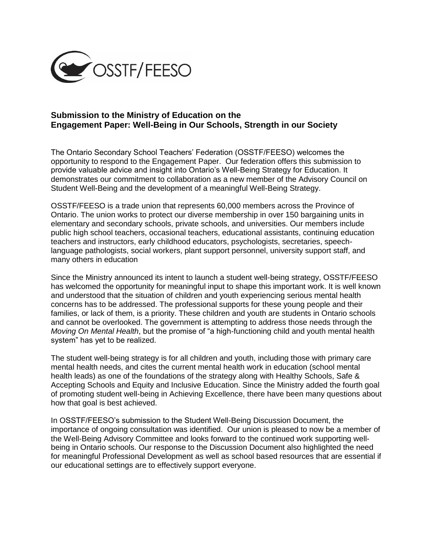

# **Submission to the Ministry of Education on the Engagement Paper: Well-Being in Our Schools, Strength in our Society**

The Ontario Secondary School Teachers' Federation (OSSTF/FEESO) welcomes the opportunity to respond to the Engagement Paper. Our federation offers this submission to provide valuable advice and insight into Ontario's Well-Being Strategy for Education. It demonstrates our commitment to collaboration as a new member of the Advisory Council on Student Well-Being and the development of a meaningful Well-Being Strategy.

OSSTF/FEESO is a trade union that represents 60,000 members across the Province of Ontario. The union works to protect our diverse membership in over 150 bargaining units in elementary and secondary schools, private schools, and universities. Our members include public high school teachers, occasional teachers, educational assistants, continuing education teachers and instructors, early childhood educators, psychologists, secretaries, speechlanguage pathologists, social workers, plant support personnel, university support staff, and many others in education

Since the Ministry announced its intent to launch a student well-being strategy, OSSTF/FEESO has welcomed the opportunity for meaningful input to shape this important work. It is well known and understood that the situation of children and youth experiencing serious mental health concerns has to be addressed. The professional supports for these young people and their families, or lack of them, is a priority. These children and youth are students in Ontario schools and cannot be overlooked. The government is attempting to address those needs through the *Moving On Mental Health*, but the promise of "a high-functioning child and youth mental health system" has yet to be realized.

The student well-being strategy is for all children and youth, including those with primary care mental health needs, and cites the current mental health work in education (school mental health leads) as one of the foundations of the strategy along with Healthy Schools, Safe & Accepting Schools and Equity and Inclusive Education. Since the Ministry added the fourth goal of promoting student well-being in Achieving Excellence, there have been many questions about how that goal is best achieved.

In OSSTF/FEESO's submission to the Student Well-Being Discussion Document, the importance of ongoing consultation was identified. Our union is pleased to now be a member of the Well-Being Advisory Committee and looks forward to the continued work supporting wellbeing in Ontario schools. Our response to the Discussion Document also highlighted the need for meaningful Professional Development as well as school based resources that are essential if our educational settings are to effectively support everyone.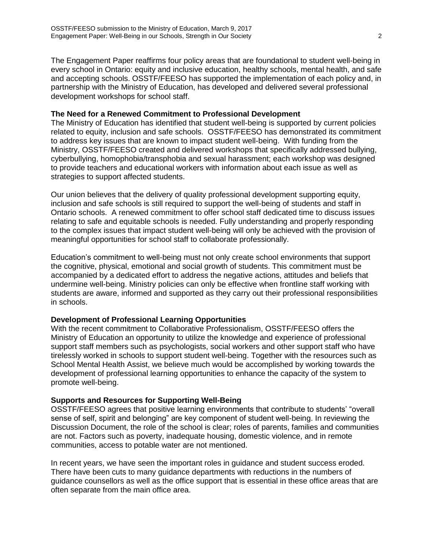The Engagement Paper reaffirms four policy areas that are foundational to student well-being in every school in Ontario: equity and inclusive education, healthy schools, mental health, and safe and accepting schools. OSSTF/FEESO has supported the implementation of each policy and, in partnership with the Ministry of Education, has developed and delivered several professional development workshops for school staff.

### **The Need for a Renewed Commitment to Professional Development**

The Ministry of Education has identified that student well-being is supported by current policies related to equity, inclusion and safe schools. OSSTF/FEESO has demonstrated its commitment to address key issues that are known to impact student well-being. With funding from the Ministry, OSSTF/FEESO created and delivered workshops that specifically addressed bullying, cyberbullying, homophobia/transphobia and sexual harassment; each workshop was designed to provide teachers and educational workers with information about each issue as well as strategies to support affected students.

Our union believes that the delivery of quality professional development supporting equity, inclusion and safe schools is still required to support the well-being of students and staff in Ontario schools. A renewed commitment to offer school staff dedicated time to discuss issues relating to safe and equitable schools is needed. Fully understanding and properly responding to the complex issues that impact student well-being will only be achieved with the provision of meaningful opportunities for school staff to collaborate professionally.

Education's commitment to well-being must not only create school environments that support the cognitive, physical, emotional and social growth of students. This commitment must be accompanied by a dedicated effort to address the negative actions, attitudes and beliefs that undermine well-being. Ministry policies can only be effective when frontline staff working with students are aware, informed and supported as they carry out their professional responsibilities in schools.

# **Development of Professional Learning Opportunities**

With the recent commitment to Collaborative Professionalism, OSSTF/FEESO offers the Ministry of Education an opportunity to utilize the knowledge and experience of professional support staff members such as psychologists, social workers and other support staff who have tirelessly worked in schools to support student well-being. Together with the resources such as School Mental Health Assist, we believe much would be accomplished by working towards the development of professional learning opportunities to enhance the capacity of the system to promote well-being.

# **Supports and Resources for Supporting Well-Being**

OSSTF/FEESO agrees that positive learning environments that contribute to students' "overall sense of self, spirit and belonging" are key component of student well-being. In reviewing the Discussion Document, the role of the school is clear; roles of parents, families and communities are not. Factors such as poverty, inadequate housing, domestic violence, and in remote communities, access to potable water are not mentioned.

In recent years, we have seen the important roles in guidance and student success eroded. There have been cuts to many guidance departments with reductions in the numbers of guidance counsellors as well as the office support that is essential in these office areas that are often separate from the main office area.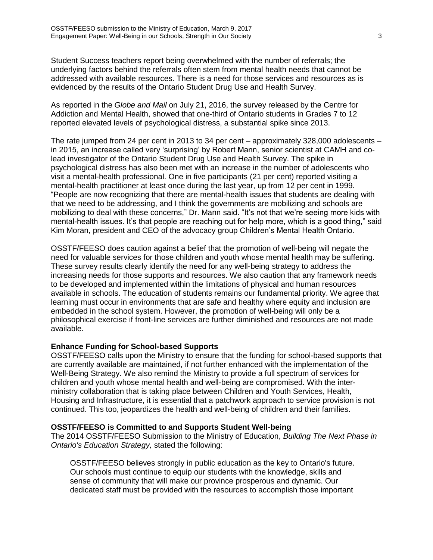Student Success teachers report being overwhelmed with the number of referrals; the underlying factors behind the referrals often stem from mental health needs that cannot be addressed with available resources. There is a need for those services and resources as is evidenced by the results of the Ontario Student Drug Use and Health Survey.

As reported in the *Globe and Mail* on July 21, 2016, the survey released by the Centre for Addiction and Mental Health, showed that one-third of Ontario students in Grades 7 to 12 reported elevated levels of psychological distress, a substantial spike since 2013.

The rate jumped from 24 per cent in 2013 to 34 per cent – approximately 328,000 adolescents – in 2015, an increase called very 'surprising' by Robert Mann, senior scientist at CAMH and colead investigator of the Ontario Student Drug Use and Health Survey. The spike in psychological distress has also been met with an increase in the number of adolescents who visit a mental-health professional. One in five participants (21 per cent) reported visiting a mental-health practitioner at least once during the last year, up from 12 per cent in 1999. "People are now recognizing that there are mental-health issues that students are dealing with that we need to be addressing, and I think the governments are mobilizing and schools are mobilizing to deal with these concerns," Dr. Mann said. "It's not that we're seeing more kids with mental-health issues. It's that people are reaching out for help more, which is a good thing," said Kim Moran, president and CEO of the advocacy group Children's Mental Health Ontario.

OSSTF/FEESO does caution against a belief that the promotion of well-being will negate the need for valuable services for those children and youth whose mental health may be suffering. These survey results clearly identify the need for any well-being strategy to address the increasing needs for those supports and resources. We also caution that any framework needs to be developed and implemented within the limitations of physical and human resources available in schools. The education of students remains our fundamental priority. We agree that learning must occur in environments that are safe and healthy where equity and inclusion are embedded in the school system. However, the promotion of well-being will only be a philosophical exercise if front-line services are further diminished and resources are not made available.

# **Enhance Funding for School-based Supports**

OSSTF/FEESO calls upon the Ministry to ensure that the funding for school-based supports that are currently available are maintained, if not further enhanced with the implementation of the Well-Being Strategy. We also remind the Ministry to provide a full spectrum of services for children and youth whose mental health and well-being are compromised. With the interministry collaboration that is taking place between Children and Youth Services, Health, Housing and Infrastructure, it is essential that a patchwork approach to service provision is not continued. This too, jeopardizes the health and well-being of children and their families.

#### **OSSTF/FEESO is Committed to and Supports Student Well-being**

The 2014 OSSTF/FEESO Submission to the Ministry of Education, *Building The Next Phase in Ontario's Education Strategy,* stated the following:

OSSTF/FEESO believes strongly in public education as the key to Ontario's future. Our schools must continue to equip our students with the knowledge, skills and sense of community that will make our province prosperous and dynamic. Our dedicated staff must be provided with the resources to accomplish those important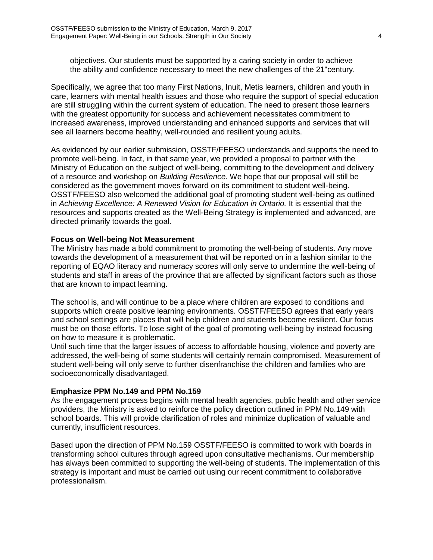objectives. Our students must be supported by a caring society in order to achieve the ability and confidence necessary to meet the new challenges of the 21"century.

Specifically, we agree that too many First Nations, Inuit, Metis learners, children and youth in care, learners with mental health issues and those who require the support of special education are still struggling within the current system of education. The need to present those learners with the greatest opportunity for success and achievement necessitates commitment to increased awareness, improved understanding and enhanced supports and services that will see all learners become healthy, well-rounded and resilient young adults.

As evidenced by our earlier submission, OSSTF/FEESO understands and supports the need to promote well-being. In fact, in that same year, we provided a proposal to partner with the Ministry of Education on the subject of well-being, committing to the development and delivery of a resource and workshop on *Building Resilience*. We hope that our proposal will still be considered as the government moves forward on its commitment to student well-being. OSSTF/FEESO also welcomed the additional goal of promoting student well-being as outlined in *Achieving Excellence: A Renewed Vision for Education in Ontario.* It is essential that the resources and supports created as the Well-Being Strategy is implemented and advanced, are directed primarily towards the goal.

#### **Focus on Well-being Not Measurement**

The Ministry has made a bold commitment to promoting the well-being of students. Any move towards the development of a measurement that will be reported on in a fashion similar to the reporting of EQAO literacy and numeracy scores will only serve to undermine the well-being of students and staff in areas of the province that are affected by significant factors such as those that are known to impact learning.

The school is, and will continue to be a place where children are exposed to conditions and supports which create positive learning environments. OSSTF/FEESO agrees that early years and school settings are places that will help children and students become resilient. Our focus must be on those efforts. To lose sight of the goal of promoting well-being by instead focusing on how to measure it is problematic.

Until such time that the larger issues of access to affordable housing, violence and poverty are addressed, the well-being of some students will certainly remain compromised. Measurement of student well-being will only serve to further disenfranchise the children and families who are socioeconomically disadvantaged.

#### **Emphasize PPM No.149 and PPM No.159**

As the engagement process begins with mental health agencies, public health and other service providers, the Ministry is asked to reinforce the policy direction outlined in PPM No.149 with school boards. This will provide clarification of roles and minimize duplication of valuable and currently, insufficient resources.

Based upon the direction of PPM No.159 OSSTF/FEESO is committed to work with boards in transforming school cultures through agreed upon consultative mechanisms. Our membership has always been committed to supporting the well-being of students. The implementation of this strategy is important and must be carried out using our recent commitment to collaborative professionalism.